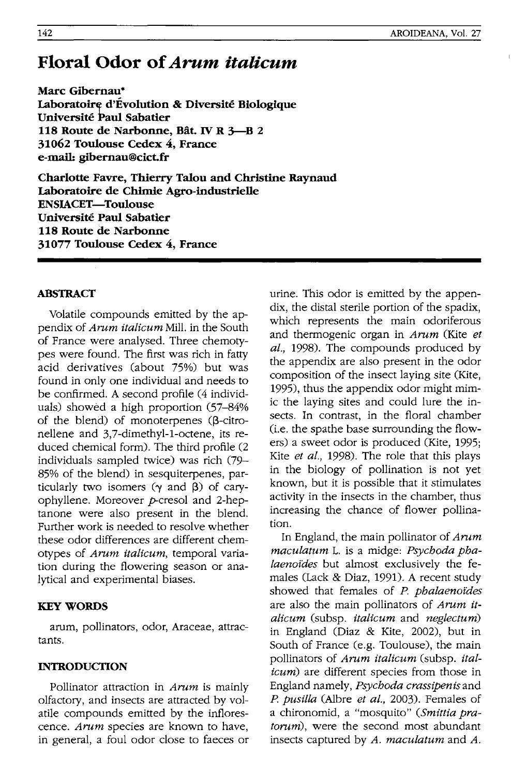# **Floral Odor of** *Arum italicum*

**Marc Gibernau·**  Laboratoire d'Evolution & Diversité Biologique **Universire Paul Sabatier 118 Route de Narbonne, Bat. IV R 3-B 2 31062 Toulouse Cedex 4, France e-mail: gibernau@cict.fr** 

**Charlotte Favre, Thierry Talou and Christine Raynaud Laboratoire de Chimie Agro-industrielle ENSIACET-Toulouse Universire Paul Sabatier 118 Route de Narbonne 31077 Toulouse Cedex 4, France** 

## **ABSTRACT**

Volatile compounds emitted by the appendix of *Arum italicum* Mill. in the South of France were analysed. Three chemotypes were found. The first was rich in fatty acid derivatives (about 75%) but was found in only one individual and needs to be confirmed. A second profile (4 individuals) showed a high proportion (57-84% of the blend) of monoterpenes ( $\beta$ -citronellene and 3,7-dimethyl-1-octene, its reduced chemical form). The third profile (2 individuals sampled twice) was rich (79-85% of the blend) in sesquiterpenes, particularly two isomers  $(\gamma$  and  $\beta)$  of caryophyllene. Moreover p-cresol and 2-heptanone were also present in the blend. Further work is needed to resolve whether these odor differences are different chemotypes of *Arum italicum,* temporal variation during the flowering season or analytical and experimental biases.

### **KEY WORDS**

arum, pollinators, odor, Araceae, attractants.

#### **INTRODUCTION**

Pollinator attraction in *Arum* is mainly olfactory, and insects are attracted by volatile compounds emitted by the inflorescence. *Arum* species are known to have, in general, a foul odor close to faeces or urine. This odor is emitted by the appendix, the distal sterile portion of the spadix, which represents the main odoriferous and thermogenic organ in *Arum* (Kite *et al.,* 1998). The compounds produced by the appendix are also present in the odor composition of the insect laying site (Kite, 1995), thus the appendix odor might mimic the laying sites and could lure the insects. In contrast, in the floral chamber (i.e. the spathe base surrounding the flowers) a sweet odor is produced (Kite, 1995; Kite *et al.,* 1998). The role that this plays in the biology of pollination is not yet known, but it is possible that it stimulates activity in the insects in the chamber, thus increasing the chance of flower pollination.

In England, the main pollinator of *Arum maculatum* 1. is a midge: *Psychoda phalaenofdes* but almost exclusively the females (Lack & Diaz, 1991). A recent study showed that females of *P. phalaenofdes*  are also the main pollinators of *Arum italicum* (subsp. *italicum* and *neglectum)*  in England (Diaz & Kite, 2002), but in South of France (e.g. Toulouse), the main pollinators of *Arum italicum* (subsp. *italicum)* are different species from those in England namely, *Psychoda crassipenisand P. pusilla* (Albre *et al.,* 2003). Females of a chironomid, a "mosquito" *(Smittia pra*torum), were the second most abundant insects captured by *A. maculatum* and *A.*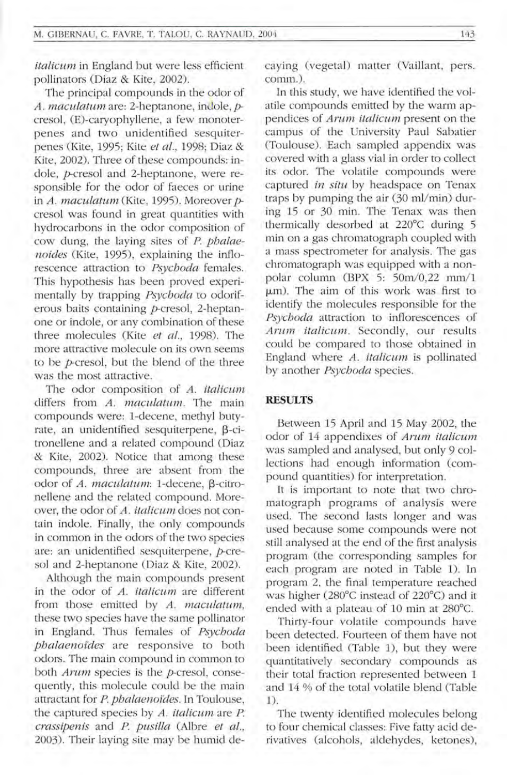*italicum* in England but were less efficient pollinators (Diaz & Kite, 2002).

The principal compounds in the odor of *A. maculatum* are: 2-heptanone, indole, *p*cresol, (E)-caryophyllene, a few monoterpenes and two unidentified sesquiterpenes (Kite, 1995; Kite *et al.,* 1998; Diaz & Kite, 2002). Three of these compounds: indole, *p*-cresol and 2-heptanone, were responsible for the odor of faeces or urine in *A. maculatum* (Kite, 1995). Moreover *p*cresol was found in great quantities with hydrocarbons in the odor composition of cow dung, the laying sites of P. *phalaenoides* (Kite, 1995), explaining the inflorescence attraction to *Psychoda* females. This hypothesis has been proved experimentally by trapping *Psychoda* to odoriferous baits containing p-cresol, 2-heptanone or indole, or any combination of these three molecules (Kite *et al.,* 1998). The more attractive molecule on its own seems to be *t*-cresol, but the blend of the three was the most attractive.

The odor composition of *A. italicum* differs from *A. maculatum*. The main compounds were: 1-decene, methyl butyrate, an unidentified sesquiterpene,  $\beta$ -citronellene and a related compound (Diaz & Kite, 2002). Notice that among these compounds, three are absent from the odor of *A. maculatum*: 1-decene, B-citronellene and the related compound. Moreover, the odor of *A. italicum* does not contain indole. Finally, the only compounds in common in the odors of the two species are: an unidentified sesquiterpene,  $p$ -cresol and 2-heptanone (Diaz & Kite, 2002).

Although the main compounds present in the odor of *A. italicum* are different from those emitted by A. *maculatum,*  these two species have the same pollinator in England. Thus females of *Psychoda phalaenoides* are responsive to both odors. The main compound in common to both *Arum* species is the *p*-cresol, consequently, this molecule could be the main attractant for P. *phalaenoides*. In Toulouse, the captured species by *A. italicum* are P. *crassipenis* and *P. pusilla* (Albre *et aI.,*  2003). Their laying site may be humid decaying (vegetal) matter (Vaillant, pers. comm.).

In this study, we have identified the volatile compounds emitted by the warm appendices of *Arum italicum* present on the campus of the University Paul Sabatier (Toulouse). Each sampled appendix was covered with a glass vial in order to collect its odor. The volatile compounds were captured *in situ* by headspace on Tenax traps by pumping the air  $(30 \text{ ml/min})$  during 15 or 30 min. The Tenax was then thermically desorbed at 220°C during 5 min on a gas chromatograph coupled with a mass spectrometer for analysis. The gas chromatograph was equipped with a nonpolar column (BPX 5: 50m/0,22 mm/1 um). The aim of this work was first to identify the molecules responsible for the *Psychoda* attraction to inflorescences of *Arum italicum.* Secondly, our results could be compared to those obtained in England where *A. italicum* is pollinated by another *Psychoda* species.

#### **RESULTS**

Between 15 April and 15 May 2002, the odor of 14 appendixes of *Arum italicum*  was sampled and analysed, but only 9 collections had enough information (compound quantities) for interpretation.

It is important to note that two chromatograph programs of analysis were used. The second lasts longer and was used because some compounds were not still analysed at the end of the first analysis program (the corresponding samples for each program are noted in Table 1). In program 2, the final temperature reached was higher (280°C instead of 220°C) and it ended with a plateau of 10 min at 280°C.

Thirty-four volatile compounds have been detected. Fourteen of them have not been identified (Table 1), but they were quantitatively secondary compounds as their total fraction represented between 1 and 14 % of the total volatile blend (Table 1)

The twenty identified molecules belong to four chemical classes: Five fatty acid derivatives (alcohols, aldehydes, ketones),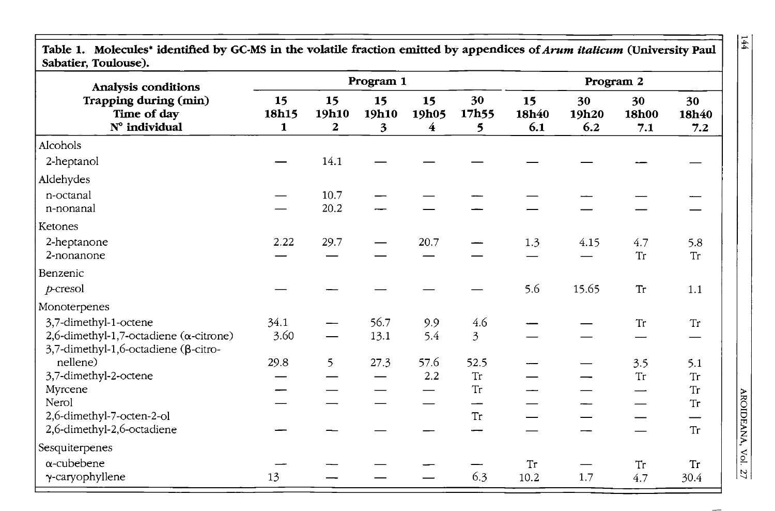| Sabatier, Toulouse).                                                                                             | Program 1        |                             |                  |                  |                  | Program 2          |                    |                    |                    |
|------------------------------------------------------------------------------------------------------------------|------------------|-----------------------------|------------------|------------------|------------------|--------------------|--------------------|--------------------|--------------------|
| Analysis conditions<br>Trapping during (min)<br>Time of day<br>N° individual                                     | 15<br>18h15<br>1 | 15<br>19h10<br>$\mathbf{2}$ | 15<br>19h10<br>3 | 15<br>19h05<br>4 | 30<br>17h55<br>5 | 15<br>18h40<br>6.1 | 30<br>19h20<br>6.2 | 30<br>18h00<br>7.1 | 30<br>18h40<br>7.2 |
| Alcohols                                                                                                         |                  |                             |                  |                  |                  |                    |                    |                    |                    |
| 2-heptanol                                                                                                       |                  | 14.1                        |                  |                  |                  |                    |                    |                    |                    |
| Aldehydes                                                                                                        |                  |                             |                  |                  |                  |                    |                    |                    |                    |
| n-octanal<br>n-nonanal                                                                                           |                  | 10.7<br>20.2                |                  |                  |                  |                    |                    |                    |                    |
| Ketones                                                                                                          |                  |                             |                  |                  |                  |                    |                    |                    |                    |
| 2-heptanone<br>2-nonanone                                                                                        | 2.22             | 29.7                        |                  | 20.7             |                  | 1.3                | 4.15               | 4.7<br><b>Tr</b>   | 5.8<br><b>Tr</b>   |
| Benzenic                                                                                                         |                  |                             |                  |                  |                  |                    |                    |                    |                    |
| $p$ -cresol                                                                                                      |                  |                             |                  |                  |                  | 5.6                | 15.65              | Tr                 | $1.1\,$            |
| Monoterpenes                                                                                                     |                  |                             |                  |                  |                  |                    |                    |                    |                    |
| 3,7-dimethyl-1-octene<br>2,6-dimethyl-1,7-octadiene ( $\alpha$ -citrone)<br>3,7-dimethyl-1,6-octadiene (β-citro- | 34.1<br>3.60     |                             | 56.7<br>13.1     | 9.9<br>5.4       | 4.6<br>3         |                    |                    | ${\rm Tr}$         | Tr                 |
| nellene)                                                                                                         | 29.8             | 5                           | 27.3             | 57.6             | 52.5             |                    |                    | 3.5                | 5.1                |
| 3,7-dimethyl-2-octene<br>Myrcene                                                                                 |                  |                             |                  | 2.2              | Tr<br>Tr         |                    |                    | Tr                 | <b>Tr</b><br>Tr    |
| Nerol                                                                                                            |                  |                             |                  |                  |                  |                    |                    |                    | Tr                 |
| 2,6-dimethyl-7-octen-2-ol                                                                                        |                  |                             |                  |                  | <b>Tr</b>        |                    |                    |                    |                    |
| 2,6-dimethyl-2,6-octadiene                                                                                       |                  |                             |                  |                  |                  |                    |                    |                    | <b>Tr</b>          |
| Sesquiterpenes                                                                                                   |                  |                             |                  |                  |                  |                    |                    |                    |                    |
| $\alpha$ -cubebene                                                                                               |                  |                             |                  |                  |                  | Tr                 |                    | Tr                 | Tr                 |
| γ-caryophyllene                                                                                                  | 13               |                             |                  |                  | 6.3              | 10.2               | 1.7                | 4.7                | 30.4               |

Table 1. Molecules<sup>\*</sup> identified by GC-MS in the volatile fraction emitted by appendices of *Arum italicum* (University Paul **Sabatier, Toulouse).** 

AROIDEANA, Vol. 27

 $\frac{144}{1}$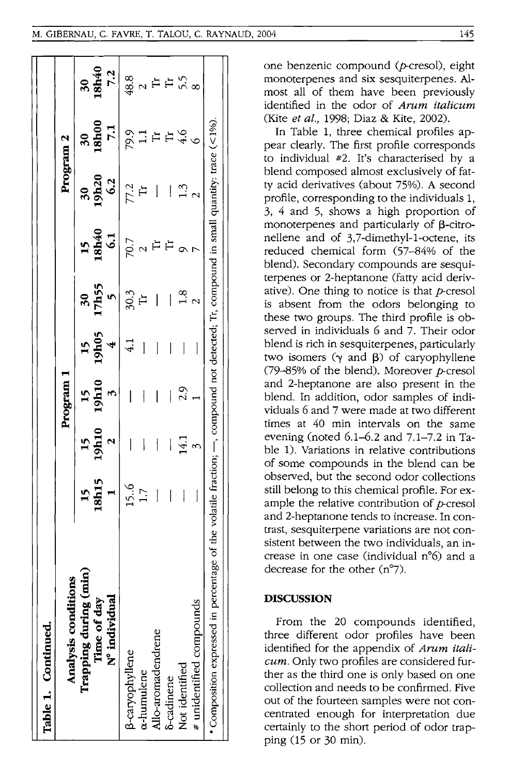| Table 1. Continued.                                                                                                                                  |                                |                                                   |                          |                                       |                    |                                      |                             |                    |                                             |
|------------------------------------------------------------------------------------------------------------------------------------------------------|--------------------------------|---------------------------------------------------|--------------------------|---------------------------------------|--------------------|--------------------------------------|-----------------------------|--------------------|---------------------------------------------|
| ë<br>Analysis conditio                                                                                                                               |                                |                                                   | Program                  |                                       |                    |                                      | Program 2                   |                    |                                             |
| Trapping during (min<br>N° individual<br>Time of day                                                                                                 | $\frac{15}{18}$                | $\begin{array}{c c} 15 \\ 19h10 \\ 2 \end{array}$ | $\frac{15}{19h10}$       | $\frac{15}{4}$                        | $\frac{30}{17h55}$ | $\frac{15}{18h40}$                   | $\frac{30}{19h20}$          | $\frac{30}{18h00}$ | 30<br>18h40<br>7.2                          |
| 3-caryophyllene                                                                                                                                      | $15.6$<br>$1.7$                | $\begin{array}{c} \end{array}$                    | $\mathsf{l}$             | $\frac{1}{4}$                         | $30.3$<br>Tr       |                                      | $7.2$<br>Tr                 |                    |                                             |
| a-humulene                                                                                                                                           |                                | $\overline{\phantom{a}}$                          | $\overline{\mathcal{I}}$ | $\overline{\phantom{a}}$              |                    |                                      |                             |                    |                                             |
| Allo-aromadendrene                                                                                                                                   | $\begin{array}{c} \end{array}$ | $\mathbb{L}$                                      | $\mathsf I$              | $\begin{array}{c} \hline \end{array}$ |                    | $\frac{1}{2}$ or $\frac{1}{2}$ if it |                             |                    |                                             |
| <b><i><u>S-cadinene</u></i></b>                                                                                                                      | $\vert$                        |                                                   | $\bigg\}$                | $\overline{\phantom{a}}$              | $\vert \vert$      |                                      |                             |                    |                                             |
| Not identified                                                                                                                                       | $\overline{\phantom{a}}$       |                                                   | $\frac{2.9}{1}$          |                                       | $\frac{3}{2}$      |                                      | $\frac{1}{2}$ $\frac{3}{2}$ |                    | $\frac{3}{9}$ a $\bar{F}$ F $\frac{5}{9}$ a |
| # unidentified compounds                                                                                                                             |                                | $\frac{1}{4}$ 3                                   |                          |                                       |                    |                                      |                             | 9.377786           |                                             |
| centage of the volatile fraction; $\leftarrow$ , compound not detected; Tr, compound in small quantity; trace (<1%)<br>Composition expressed in perc |                                |                                                   |                          |                                       |                    |                                      |                             |                    |                                             |

one benzenic compound (p-cresol), eight monoterpenes and six sesquiterpenes. Almost all of them have been previously identified in the odor of *Antm italicum*  (Kite *et al.,* 1998; Diaz & Kite, 2002).

In Table 1, three chemical profiles appear clearly. The first profile corresponds to individual #2. It's characterised by a blend composed almost exclusively of fatty acid derivatives (about 75%). A second profile, corresponding to the individuals 1, 3, 4 and 5, shows a high proportion of monoterpenes and particularly of  $\beta$ -citronellene and of 3,7-dimethyl-1-octene, its reduced chemical form (57-84% of the blend). Secondary compounds are sesquiterpenes or 2-heptanone (fatty acid derivative). One thing to notice is that  $p$ -cresol is absent from the odors belonging to these two groups. The third profile is observed in individuals 6 and 7. Their odor blend is rich in sesquiterpenes, particularly two isomers  $(\gamma \text{ and } \beta)$  of caryophyllene *09-85%* of the blend). Moreover p-cresol and 2-heptanone are also present in the blend. In addition, odor samples of individuals 6 and 7 were made at two different times at 40 min intervals on the same evening (noted 6.1-6.2 and 7.1-7.2 in Table 1). Variations in relative contributions of some compounds in the blend can be observed, but the second odor collections still belong to this chemical profile. For example the relative contribution of  $p$ -cresol and 2-heptanone tends to increase. In contrast, sesquiterpene variations are not consistent between the two individuals, an increase in one case (individual  $n^{\circ}$ 6) and a decrease for the other  $(n^{\circ}7)$ .

#### **DISCUSSION**

┚┨

From the 20 compounds identified, three different odor profiles have been identified for the appendix of *Antm italicum.* Only two profiles are considered further as the third one is only based on one collection and needs to be confirmed. Five out of the fourteen samples were not concentrated enough for interpretation due certainly to the short period of odor trapping  $(15$  or  $30$  min).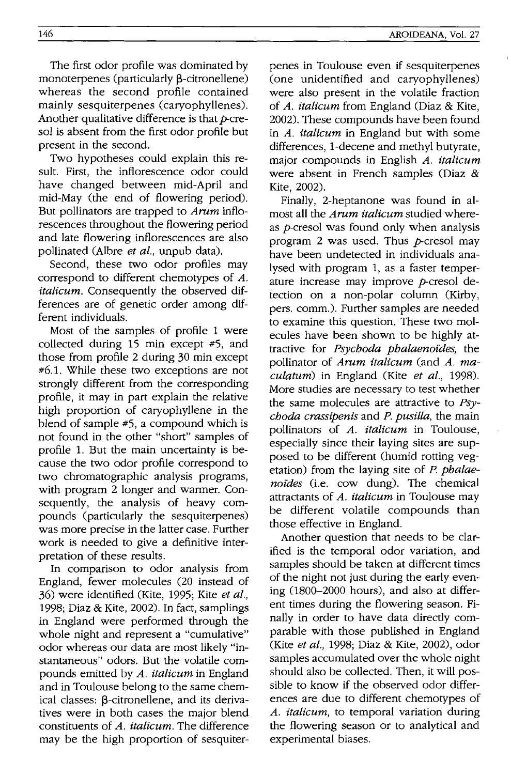The first odor profile was dominated by monoterpenes (particularly  $\beta$ -citronellene) whereas the second profile contained mainly sesquiterpenes (caryophyllenes). Another qualitative difference is that *p*-cresol is absent from the first odor profile but present in the second.

Two hypotheses could explain this result. First, the inflorescence odor could have changed between mid-April and mid-May (the end of flowering period). But pollinators are trapped to *Arnm* inflorescences throughout the flowering period and late flowering inflorescences are also pollinated (Albre *et at.,* unpub data).

Second, these two odor profiles may correspond to different chemotypes of *A. italicum.* Consequently the observed differences are of genetic order among different individuals.

Most of the samples of profile 1 were collected during 15 min except #5, and those from profile 2 during 30 min except #6.1. While these two exceptions are not strongly different from the corresponding profile, it may in part explain the relative high proportion of caryophyllene in the blend of sample #5, a compound which is not found in the other "short" samples of profile 1. But the main uncertainty is because the two odor profile correspond to two chromatographic analysis programs, with program 2 longer and warmer. Consequently, the analysis of heavy compounds (particularly the sesquiterpenes) was more precise in the latter case. Further work is needed to give a definitive interpretation of these results.

In comparison to odor analysis from England, fewer molecules (20 instead of 36) were identified (Kite, 1995; Kite *et at.,*  1998; Diaz & Kite, 2002). In fact, samplings in England were performed through the whole night and represent a "cumulative" odor whereas our data are most likely "instantaneous" odors. But the volatile compounds emitted by *A. italicum* in England and in Toulouse belong to the same chemical classes:  $\beta$ -citronellene, and its derivatives were in both cases the major blend constituents of *A. italicum.* The difference may be the high proportion of sesquiterpenes in Toulouse even if sesquiterpenes (one unidentified and caryophyllenes) were also present in the volatile fraction of *A. italicum* from England (Diaz & Kite, 2002). These compounds have been found in *A. italicum* in England but with some differences, I-decene and methyl butyrate, major compounds in English *A. italicum*  were absent in French samples (Diaz & Kite, 2002).

Finally, 2-heptanone was found in almost all the *Arum italicum* studied whereas  $p$ -cresol was found only when analysis program 2 was used. Thus  $p$ -cresol may have been undetected in individuals analysed with program 1, as a faster temperature increase may improve  $p$ -cresol detection on a non-polar column (Kirby, pers. comm.). Further samples are needed to examine this question. These two molecules have been shown to be highly attractive for *Psychoda phataenoides,* the pollinator of *Arum italicum* (and *A. maculatum)* in England (Kite *et al., 1998).*  More studies are necessary to test whether the same molecules are attractive to *Psychoda crassipenis* and P. *pusilla,* the main pollinators of *A. italicum* in Toulouse, especially since their laying sites are supposed to be different (humid rotting vegetation) from the laying site of P. *phalaenoides* (i.e. cow dung). The chemical attractants of *A. italicum* in Toulouse may be different volatile compounds than those effective in England.

Another question that needs to be clarified is the temporal odor variation, and samples should be taken at different times of the night not just during the early evening (1800–2000 hours), and also at different times during the flowering season. Finally in order to have data directly comparable with those published in England (Kite *et al.,* 1998; Diaz & Kite, 2002), odor samples accumulated over the whole night should also be collected. Then, it will possible to know if the observed odor differences are due to different chemotypes of *A. italicum,* to temporal variation during the flowering season or to analytical and experimental biases.